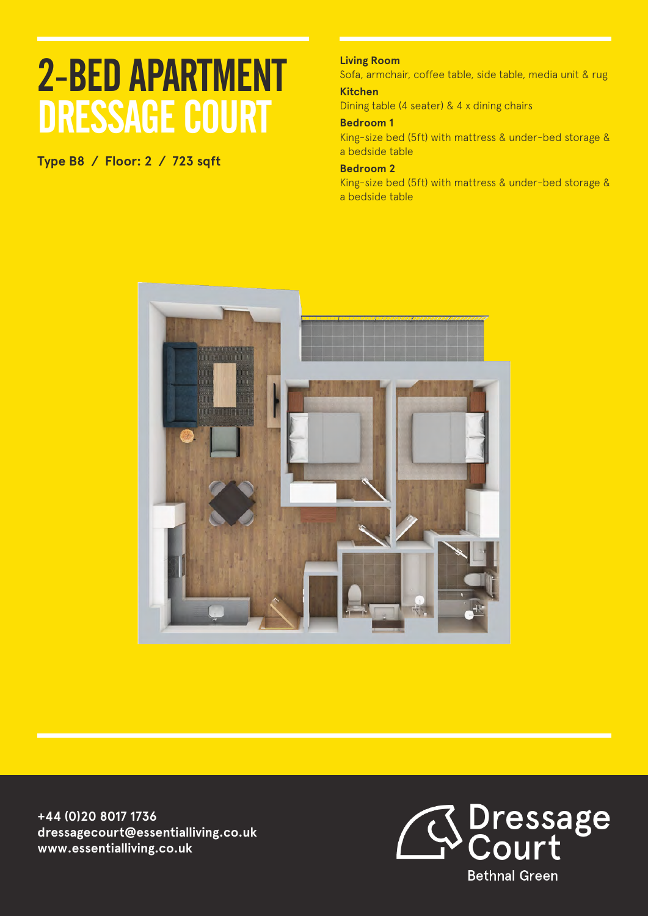**Type B8 / Floor: 2 / 723 sqft**

## **Living Room**

Sofa, armchair, coffee table, side table, media unit & rug **Kitchen**

Dining table (4 seater) & 4 x dining chairs

#### **Bedroom 1**

King-size bed (5ft) with mattress & under-bed storage & a bedside table

#### **Bedroom 2**

King-size bed (5ft) with mattress & under-bed storage & a bedside table



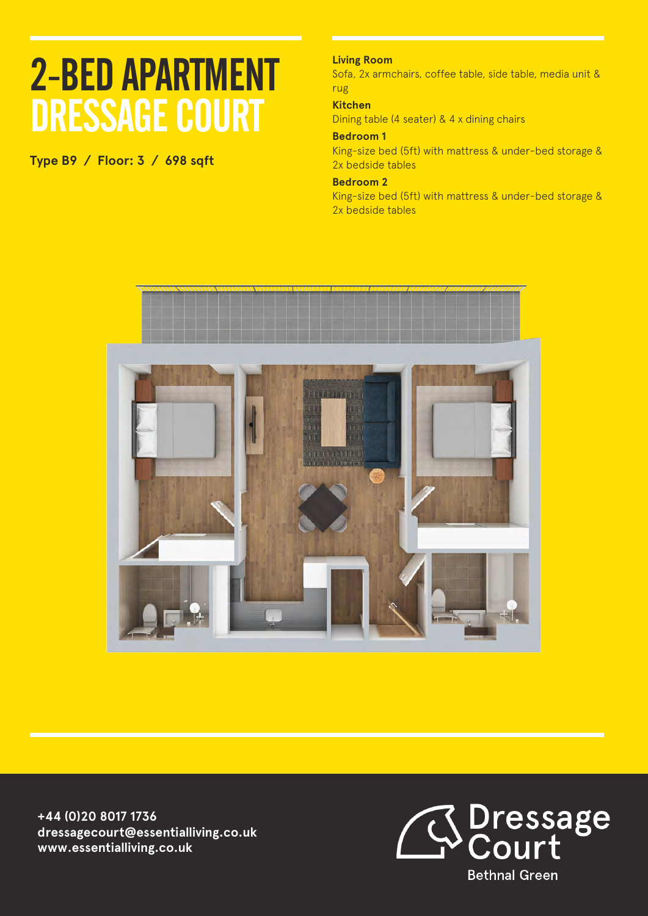**Type B9 / Floor: 3 / 698 sqft**

## **Living Room**

Sofa, 2x armchairs, coffee table, side table, media unit & rug

#### **Kitchen**

Dining table (4 seater) & 4 x dining chairs

### **Bedroom 1**

King-size bed (5ft) with mattress & under-bed storage & 2x bedside tables

### **Bedroom 2**

King-size bed (5ft) with mattress & under-bed storage & 2x bedside tables



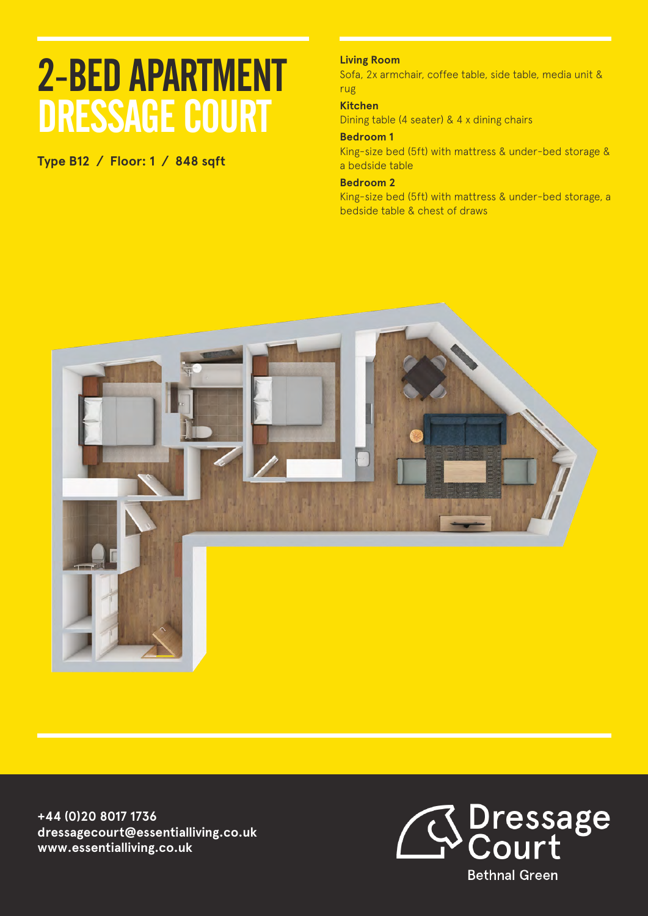**Type B12 / Floor: 1 / 848 sqft**

## **Living Room**

Sofa, 2x armchair, coffee table, side table, media unit & rug

## **Kitchen**

Dining table (4 seater) & 4 x dining chairs

### **Bedroom 1**

King-size bed (5ft) with mattress & under-bed storage & a bedside table

#### **Bedroom 2**

King-size bed (5ft) with mattress & under-bed storage, a bedside table & chest of draws



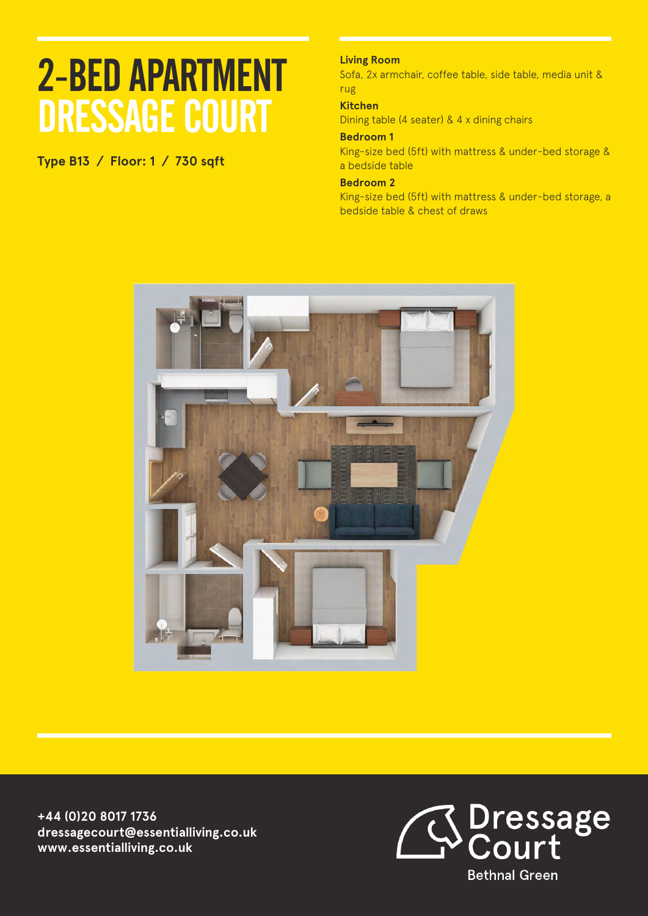**Type B13 / Floor: 1 / 730 sqft**

## **Living Room**

Sofa, 2x armchair, coffee table, side table, media unit & rug

## **Kitchen**

Dining table (4 seater) & 4 x dining chairs

### **Bedroom 1**

King-size bed (5ft) with mattress & under-bed storage & a bedside table

#### **Bedroom 2**

King-size bed (5ft) with mattress & under-bed storage, a bedside table & chest of draws



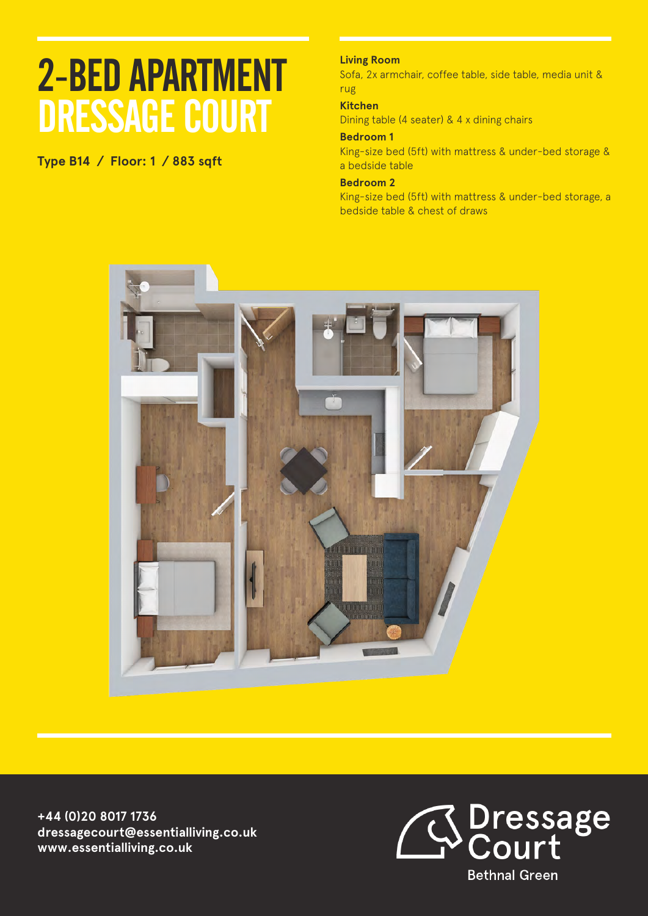**Type B14 / Floor: 1 / 883 sqft**

## **Living Room**

Sofa, 2x armchair, coffee table, side table, media unit & rug

### **Kitchen**

Dining table (4 seater) & 4 x dining chairs

### **Bedroom 1**

King-size bed (5ft) with mattress & under-bed storage & a bedside table

#### **Bedroom 2**

King-size bed (5ft) with mattress & under-bed storage, a bedside table & chest of draws



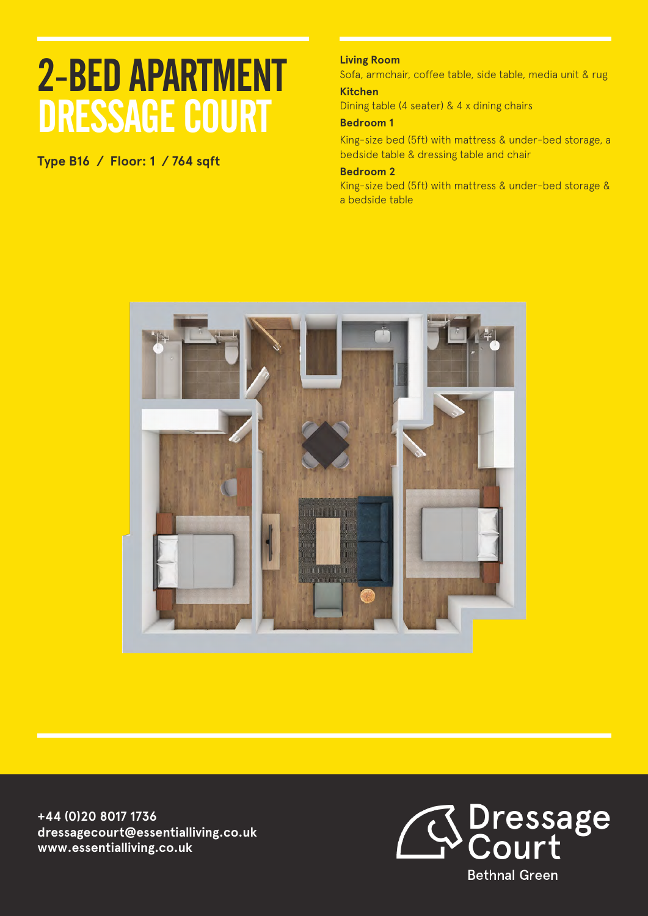**Type B16 / Floor: 1 / 764 sqft**

## **Living Room**

Sofa, armchair, coffee table, side table, media unit & rug **Kitchen**

Dining table (4 seater) & 4 x dining chairs

### **Bedroom 1**

King-size bed (5ft) with mattress & under-bed storage, a bedside table & dressing table and chair

#### **Bedroom 2**

King-size bed (5ft) with mattress & under-bed storage & a bedside table



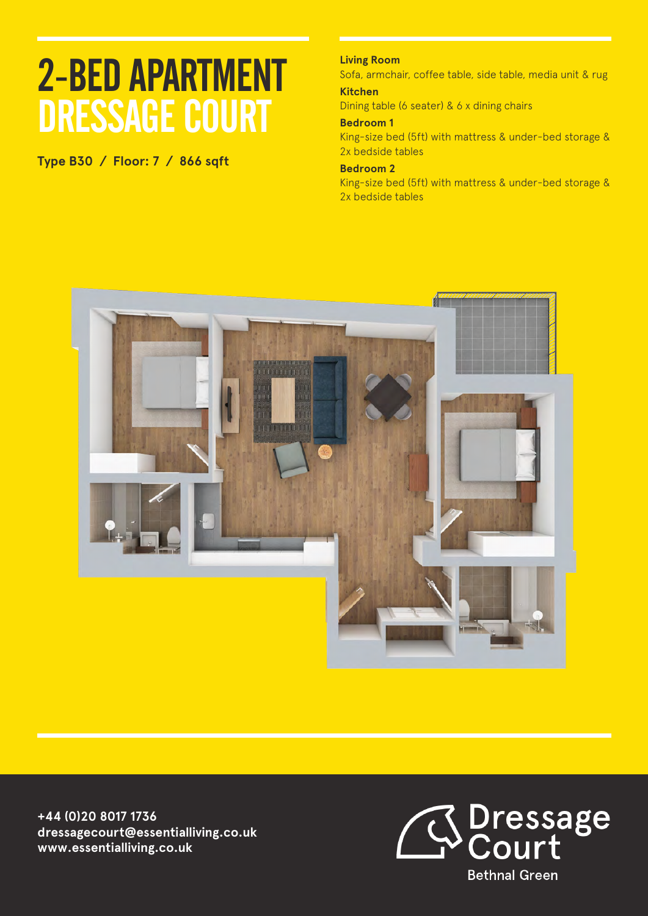**Type B30 / Floor: 7 / 866 sqft**

## **Living Room**

Sofa, armchair, coffee table, side table, media unit & rug **Kitchen**

Dining table (6 seater) & 6 x dining chairs

### **Bedroom 1**

King-size bed (5ft) with mattress & under-bed storage & 2x bedside tables

## **Bedroom 2**

King-size bed (5ft) with mattress & under-bed storage & 2x bedside tables